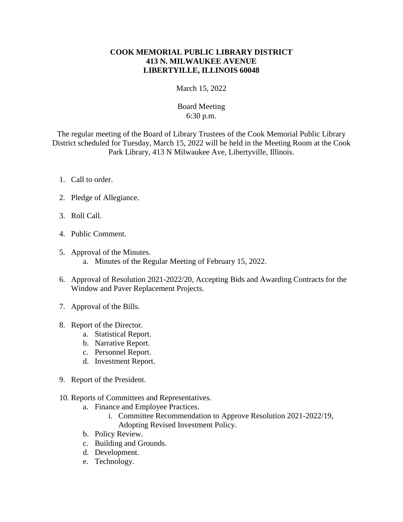## **COOK MEMORIAL PUBLIC LIBRARY DISTRICT 413 N. MILWAUKEE AVENUE LIBERTYILLE, ILLINOIS 60048**

March 15, 2022

## Board Meeting 6:30 p.m.

The regular meeting of the Board of Library Trustees of the Cook Memorial Public Library District scheduled for Tuesday, March 15, 2022 will be held in the Meeting Room at the Cook Park Library, 413 N Milwaukee Ave, Libertyville, Illinois.

- 1. Call to order.
- 2. Pledge of Allegiance.
- 3. Roll Call.
- 4. Public Comment.
- 5. Approval of the Minutes. a. Minutes of the Regular Meeting of February 15, 2022.
- 6. Approval of Resolution 2021-2022/20, Accepting Bids and Awarding Contracts for the Window and Paver Replacement Projects.
- 7. Approval of the Bills.
- 8. Report of the Director.
	- a. Statistical Report.
	- b. Narrative Report.
	- c. Personnel Report.
	- d. Investment Report.
- 9. Report of the President.
- 10. Reports of Committees and Representatives.
	- a. Finance and Employee Practices.
		- i. Committee Recommendation to Approve Resolution 2021-2022/19, Adopting Revised Investment Policy.
	- b. Policy Review.
	- c. Building and Grounds.
	- d. Development.
	- e. Technology.